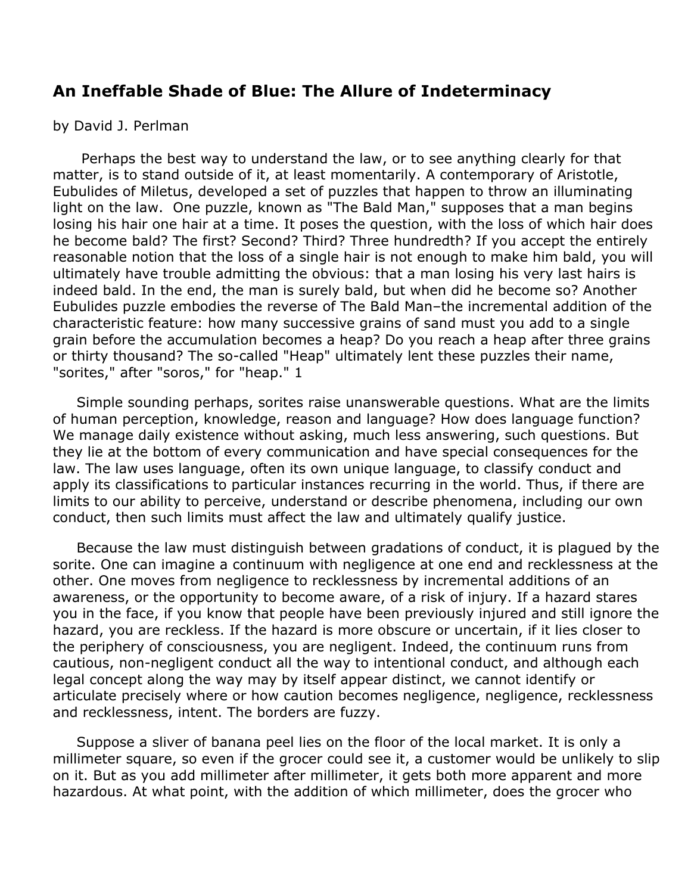## **An Ineffable Shade of Blue: The Allure of Indeterminacy**

by David J. Perlman

 Perhaps the best way to understand the law, or to see anything clearly for that matter, is to stand outside of it, at least momentarily. A contemporary of Aristotle, Eubulides of Miletus, developed a set of puzzles that happen to throw an illuminating light on the law. One puzzle, known as "The Bald Man," supposes that a man begins losing his hair one hair at a time. It poses the question, with the loss of which hair does he become bald? The first? Second? Third? Three hundredth? If you accept the entirely reasonable notion that the loss of a single hair is not enough to make him bald, you will ultimately have trouble admitting the obvious: that a man losing his very last hairs is indeed bald. In the end, the man is surely bald, but when did he become so? Another Eubulides puzzle embodies the reverse of The Bald Man–the incremental addition of the characteristic feature: how many successive grains of sand must you add to a single grain before the accumulation becomes a heap? Do you reach a heap after three grains or thirty thousand? The so-called "Heap" ultimately lent these puzzles their name, "sorites," after "soros," for "heap." 1

 Simple sounding perhaps, sorites raise unanswerable questions. What are the limits of human perception, knowledge, reason and language? How does language function? We manage daily existence without asking, much less answering, such questions. But they lie at the bottom of every communication and have special consequences for the law. The law uses language, often its own unique language, to classify conduct and apply its classifications to particular instances recurring in the world. Thus, if there are limits to our ability to perceive, understand or describe phenomena, including our own conduct, then such limits must affect the law and ultimately qualify justice.

 Because the law must distinguish between gradations of conduct, it is plagued by the sorite. One can imagine a continuum with negligence at one end and recklessness at the other. One moves from negligence to recklessness by incremental additions of an awareness, or the opportunity to become aware, of a risk of injury. If a hazard stares you in the face, if you know that people have been previously injured and still ignore the hazard, you are reckless. If the hazard is more obscure or uncertain, if it lies closer to the periphery of consciousness, you are negligent. Indeed, the continuum runs from cautious, non-negligent conduct all the way to intentional conduct, and although each legal concept along the way may by itself appear distinct, we cannot identify or articulate precisely where or how caution becomes negligence, negligence, recklessness and recklessness, intent. The borders are fuzzy.

 Suppose a sliver of banana peel lies on the floor of the local market. It is only a millimeter square, so even if the grocer could see it, a customer would be unlikely to slip on it. But as you add millimeter after millimeter, it gets both more apparent and more hazardous. At what point, with the addition of which millimeter, does the grocer who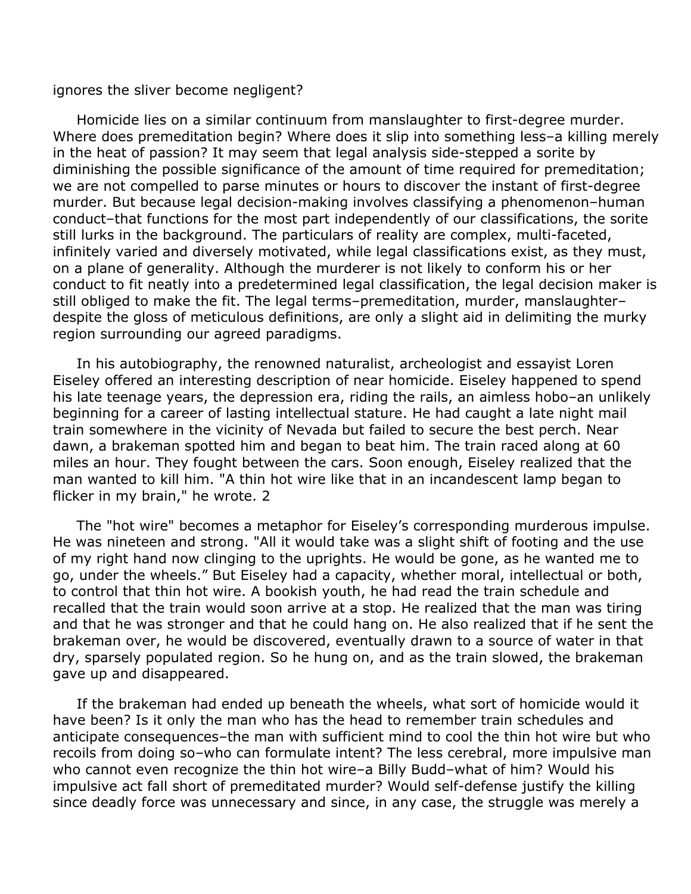ignores the sliver become negligent?

 Homicide lies on a similar continuum from manslaughter to first-degree murder. Where does premeditation begin? Where does it slip into something less-a killing merely in the heat of passion? It may seem that legal analysis side-stepped a sorite by diminishing the possible significance of the amount of time required for premeditation; we are not compelled to parse minutes or hours to discover the instant of first-degree murder. But because legal decision-making involves classifying a phenomenon–human conduct–that functions for the most part independently of our classifications, the sorite still lurks in the background. The particulars of reality are complex, multi-faceted, infinitely varied and diversely motivated, while legal classifications exist, as they must, on a plane of generality. Although the murderer is not likely to conform his or her conduct to fit neatly into a predetermined legal classification, the legal decision maker is still obliged to make the fit. The legal terms–premeditation, murder, manslaughter– despite the gloss of meticulous definitions, are only a slight aid in delimiting the murky region surrounding our agreed paradigms.

 In his autobiography, the renowned naturalist, archeologist and essayist Loren Eiseley offered an interesting description of near homicide. Eiseley happened to spend his late teenage years, the depression era, riding the rails, an aimless hobo–an unlikely beginning for a career of lasting intellectual stature. He had caught a late night mail train somewhere in the vicinity of Nevada but failed to secure the best perch. Near dawn, a brakeman spotted him and began to beat him. The train raced along at 60 miles an hour. They fought between the cars. Soon enough, Eiseley realized that the man wanted to kill him. "A thin hot wire like that in an incandescent lamp began to flicker in my brain," he wrote. 2

 The "hot wire" becomes a metaphor for Eiseley's corresponding murderous impulse. He was nineteen and strong. "All it would take was a slight shift of footing and the use of my right hand now clinging to the uprights. He would be gone, as he wanted me to go, under the wheels." But Eiseley had a capacity, whether moral, intellectual or both, to control that thin hot wire. A bookish youth, he had read the train schedule and recalled that the train would soon arrive at a stop. He realized that the man was tiring and that he was stronger and that he could hang on. He also realized that if he sent the brakeman over, he would be discovered, eventually drawn to a source of water in that dry, sparsely populated region. So he hung on, and as the train slowed, the brakeman gave up and disappeared.

 If the brakeman had ended up beneath the wheels, what sort of homicide would it have been? Is it only the man who has the head to remember train schedules and anticipate consequences–the man with sufficient mind to cool the thin hot wire but who recoils from doing so–who can formulate intent? The less cerebral, more impulsive man who cannot even recognize the thin hot wire–a Billy Budd–what of him? Would his impulsive act fall short of premeditated murder? Would self-defense justify the killing since deadly force was unnecessary and since, in any case, the struggle was merely a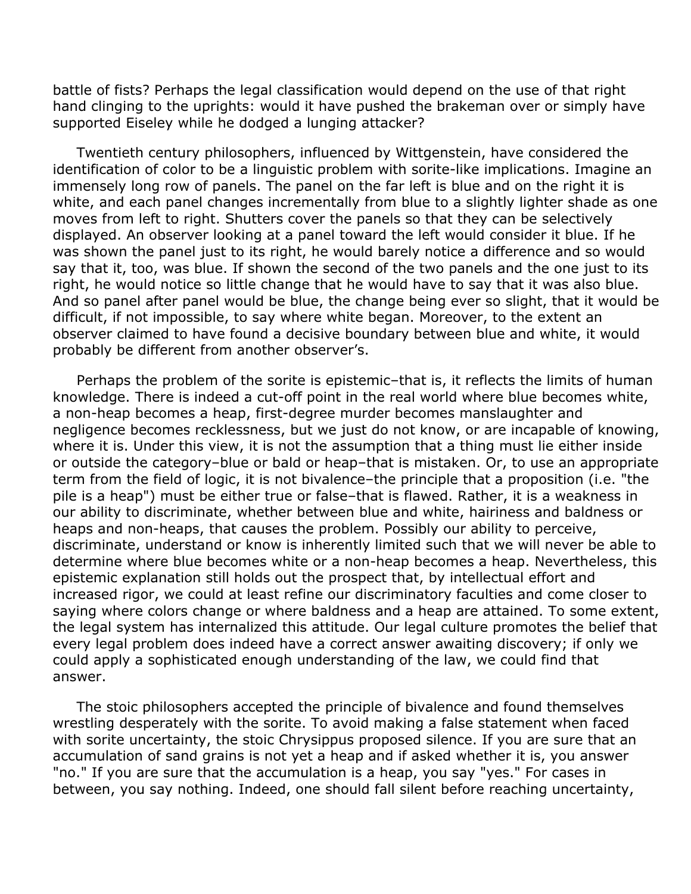battle of fists? Perhaps the legal classification would depend on the use of that right hand clinging to the uprights: would it have pushed the brakeman over or simply have supported Eiseley while he dodged a lunging attacker?

 Twentieth century philosophers, influenced by Wittgenstein, have considered the identification of color to be a linguistic problem with sorite-like implications. Imagine an immensely long row of panels. The panel on the far left is blue and on the right it is white, and each panel changes incrementally from blue to a slightly lighter shade as one moves from left to right. Shutters cover the panels so that they can be selectively displayed. An observer looking at a panel toward the left would consider it blue. If he was shown the panel just to its right, he would barely notice a difference and so would say that it, too, was blue. If shown the second of the two panels and the one just to its right, he would notice so little change that he would have to say that it was also blue. And so panel after panel would be blue, the change being ever so slight, that it would be difficult, if not impossible, to say where white began. Moreover, to the extent an observer claimed to have found a decisive boundary between blue and white, it would probably be different from another observer's.

 Perhaps the problem of the sorite is epistemic–that is, it reflects the limits of human knowledge. There is indeed a cut-off point in the real world where blue becomes white, a non-heap becomes a heap, first-degree murder becomes manslaughter and negligence becomes recklessness, but we just do not know, or are incapable of knowing, where it is. Under this view, it is not the assumption that a thing must lie either inside or outside the category–blue or bald or heap–that is mistaken. Or, to use an appropriate term from the field of logic, it is not bivalence–the principle that a proposition (i.e. "the pile is a heap") must be either true or false–that is flawed. Rather, it is a weakness in our ability to discriminate, whether between blue and white, hairiness and baldness or heaps and non-heaps, that causes the problem. Possibly our ability to perceive, discriminate, understand or know is inherently limited such that we will never be able to determine where blue becomes white or a non-heap becomes a heap. Nevertheless, this epistemic explanation still holds out the prospect that, by intellectual effort and increased rigor, we could at least refine our discriminatory faculties and come closer to saying where colors change or where baldness and a heap are attained. To some extent, the legal system has internalized this attitude. Our legal culture promotes the belief that every legal problem does indeed have a correct answer awaiting discovery; if only we could apply a sophisticated enough understanding of the law, we could find that answer.

 The stoic philosophers accepted the principle of bivalence and found themselves wrestling desperately with the sorite. To avoid making a false statement when faced with sorite uncertainty, the stoic Chrysippus proposed silence. If you are sure that an accumulation of sand grains is not yet a heap and if asked whether it is, you answer "no." If you are sure that the accumulation is a heap, you say "yes." For cases in between, you say nothing. Indeed, one should fall silent before reaching uncertainty,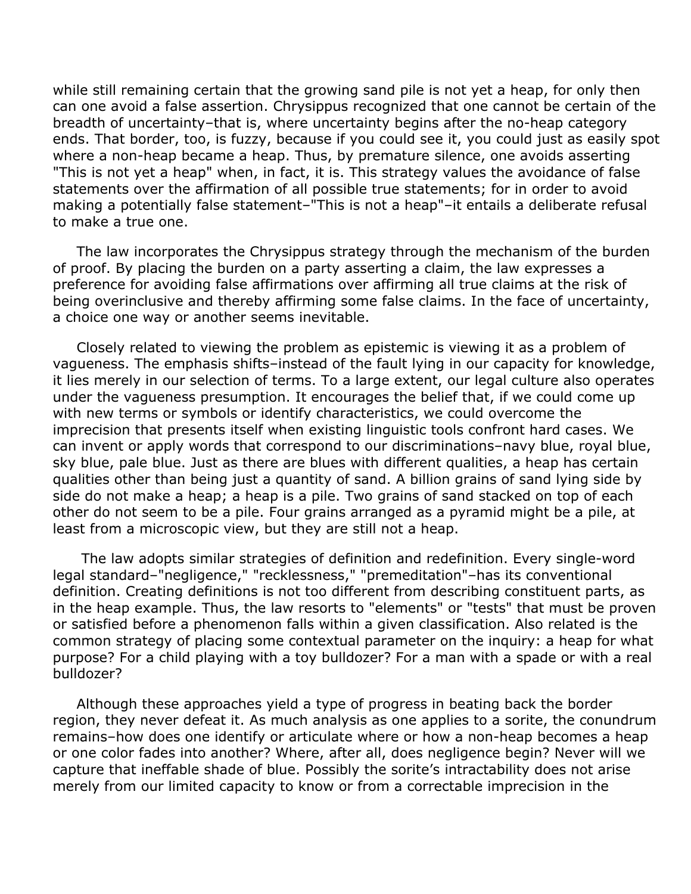while still remaining certain that the growing sand pile is not yet a heap, for only then can one avoid a false assertion. Chrysippus recognized that one cannot be certain of the breadth of uncertainty–that is, where uncertainty begins after the no-heap category ends. That border, too, is fuzzy, because if you could see it, you could just as easily spot where a non-heap became a heap. Thus, by premature silence, one avoids asserting "This is not yet a heap" when, in fact, it is. This strategy values the avoidance of false statements over the affirmation of all possible true statements; for in order to avoid making a potentially false statement–"This is not a heap"–it entails a deliberate refusal to make a true one.

 The law incorporates the Chrysippus strategy through the mechanism of the burden of proof. By placing the burden on a party asserting a claim, the law expresses a preference for avoiding false affirmations over affirming all true claims at the risk of being overinclusive and thereby affirming some false claims. In the face of uncertainty, a choice one way or another seems inevitable.

 Closely related to viewing the problem as epistemic is viewing it as a problem of vagueness. The emphasis shifts–instead of the fault lying in our capacity for knowledge, it lies merely in our selection of terms. To a large extent, our legal culture also operates under the vagueness presumption. It encourages the belief that, if we could come up with new terms or symbols or identify characteristics, we could overcome the imprecision that presents itself when existing linguistic tools confront hard cases. We can invent or apply words that correspond to our discriminations–navy blue, royal blue, sky blue, pale blue. Just as there are blues with different qualities, a heap has certain qualities other than being just a quantity of sand. A billion grains of sand lying side by side do not make a heap; a heap is a pile. Two grains of sand stacked on top of each other do not seem to be a pile. Four grains arranged as a pyramid might be a pile, at least from a microscopic view, but they are still not a heap.

 The law adopts similar strategies of definition and redefinition. Every single-word legal standard–"negligence," "recklessness," "premeditation"–has its conventional definition. Creating definitions is not too different from describing constituent parts, as in the heap example. Thus, the law resorts to "elements" or "tests" that must be proven or satisfied before a phenomenon falls within a given classification. Also related is the common strategy of placing some contextual parameter on the inquiry: a heap for what purpose? For a child playing with a toy bulldozer? For a man with a spade or with a real bulldozer?

 Although these approaches yield a type of progress in beating back the border region, they never defeat it. As much analysis as one applies to a sorite, the conundrum remains–how does one identify or articulate where or how a non-heap becomes a heap or one color fades into another? Where, after all, does negligence begin? Never will we capture that ineffable shade of blue. Possibly the sorite's intractability does not arise merely from our limited capacity to know or from a correctable imprecision in the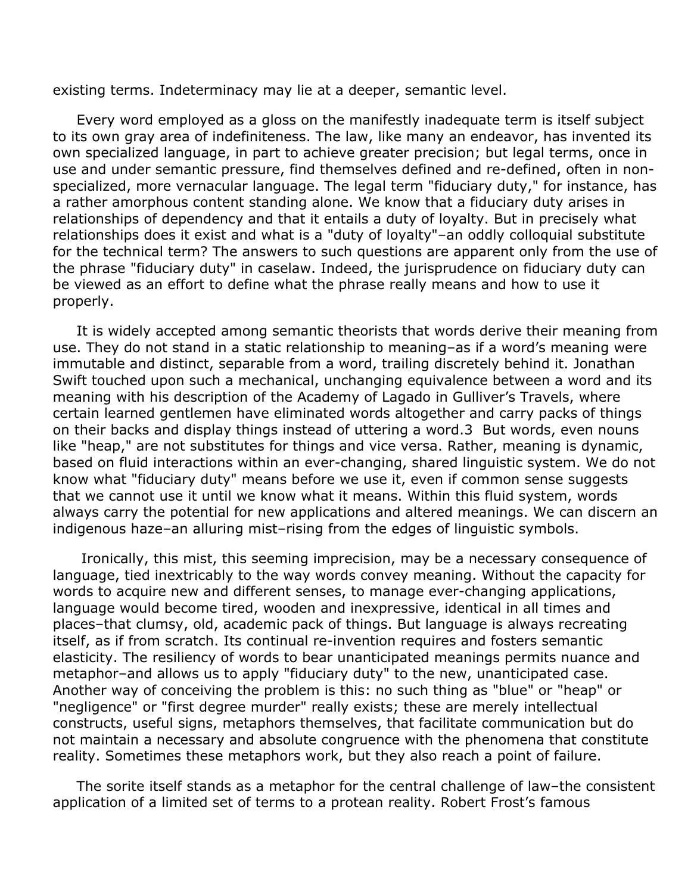existing terms. Indeterminacy may lie at a deeper, semantic level.

 Every word employed as a gloss on the manifestly inadequate term is itself subject to its own gray area of indefiniteness. The law, like many an endeavor, has invented its own specialized language, in part to achieve greater precision; but legal terms, once in use and under semantic pressure, find themselves defined and re-defined, often in nonspecialized, more vernacular language. The legal term "fiduciary duty," for instance, has a rather amorphous content standing alone. We know that a fiduciary duty arises in relationships of dependency and that it entails a duty of loyalty. But in precisely what relationships does it exist and what is a "duty of loyalty"–an oddly colloquial substitute for the technical term? The answers to such questions are apparent only from the use of the phrase "fiduciary duty" in caselaw. Indeed, the jurisprudence on fiduciary duty can be viewed as an effort to define what the phrase really means and how to use it properly.

 It is widely accepted among semantic theorists that words derive their meaning from use. They do not stand in a static relationship to meaning–as if a word's meaning were immutable and distinct, separable from a word, trailing discretely behind it. Jonathan Swift touched upon such a mechanical, unchanging equivalence between a word and its meaning with his description of the Academy of Lagado in Gulliver's Travels, where certain learned gentlemen have eliminated words altogether and carry packs of things on their backs and display things instead of uttering a word.3 But words, even nouns like "heap," are not substitutes for things and vice versa. Rather, meaning is dynamic, based on fluid interactions within an ever-changing, shared linguistic system. We do not know what "fiduciary duty" means before we use it, even if common sense suggests that we cannot use it until we know what it means. Within this fluid system, words always carry the potential for new applications and altered meanings. We can discern an indigenous haze–an alluring mist–rising from the edges of linguistic symbols.

 Ironically, this mist, this seeming imprecision, may be a necessary consequence of language, tied inextricably to the way words convey meaning. Without the capacity for words to acquire new and different senses, to manage ever-changing applications, language would become tired, wooden and inexpressive, identical in all times and places–that clumsy, old, academic pack of things. But language is always recreating itself, as if from scratch. Its continual re-invention requires and fosters semantic elasticity. The resiliency of words to bear unanticipated meanings permits nuance and metaphor–and allows us to apply "fiduciary duty" to the new, unanticipated case. Another way of conceiving the problem is this: no such thing as "blue" or "heap" or "negligence" or "first degree murder" really exists; these are merely intellectual constructs, useful signs, metaphors themselves, that facilitate communication but do not maintain a necessary and absolute congruence with the phenomena that constitute reality. Sometimes these metaphors work, but they also reach a point of failure.

 The sorite itself stands as a metaphor for the central challenge of law–the consistent application of a limited set of terms to a protean reality. Robert Frost's famous